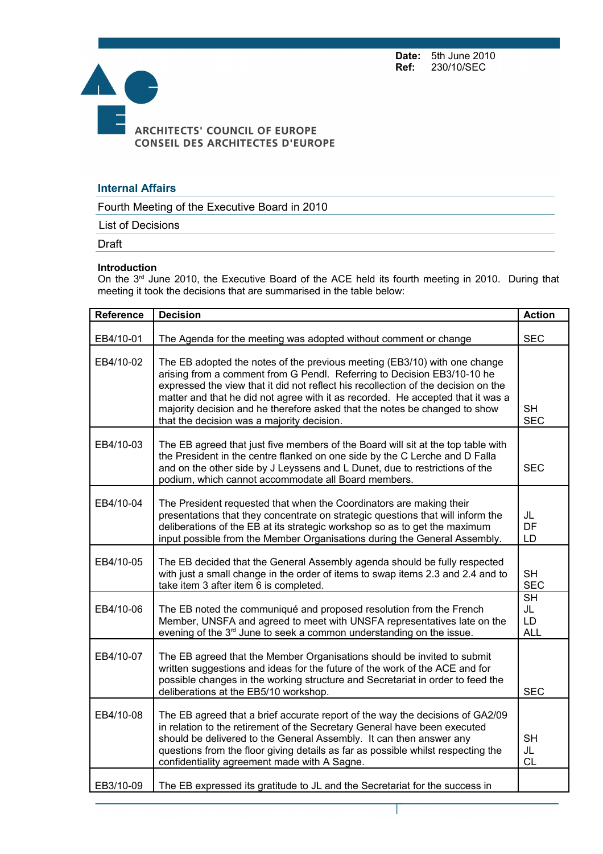**Date:** 5th June 2010<br>**Ref:** 230/10/SEC **Ref:** 230/10/SEC



## **Internal Affairs**

Fourth Meeting of the Executive Board in 2010

List of Decisions

Draft

## **Introduction**

On the 3<sup>rd</sup> June 2010, the Executive Board of the ACE held its fourth meeting in 2010. During that meeting it took the decisions that are summarised in the table below:

| <b>Reference</b> | <b>Decision</b>                                                                                                                                                                                                                                                                                                                                                                                                                                           | <b>Action</b>                       |
|------------------|-----------------------------------------------------------------------------------------------------------------------------------------------------------------------------------------------------------------------------------------------------------------------------------------------------------------------------------------------------------------------------------------------------------------------------------------------------------|-------------------------------------|
| EB4/10-01        | The Agenda for the meeting was adopted without comment or change                                                                                                                                                                                                                                                                                                                                                                                          | <b>SEC</b>                          |
| EB4/10-02        | The EB adopted the notes of the previous meeting (EB3/10) with one change<br>arising from a comment from G Pendl. Referring to Decision EB3/10-10 he<br>expressed the view that it did not reflect his recollection of the decision on the<br>matter and that he did not agree with it as recorded. He accepted that it was a<br>majority decision and he therefore asked that the notes be changed to show<br>that the decision was a majority decision. | <b>SH</b><br><b>SEC</b>             |
| EB4/10-03        | The EB agreed that just five members of the Board will sit at the top table with<br>the President in the centre flanked on one side by the C Lerche and D Falla<br>and on the other side by J Leyssens and L Dunet, due to restrictions of the<br>podium, which cannot accommodate all Board members.                                                                                                                                                     | <b>SEC</b>                          |
| EB4/10-04        | The President requested that when the Coordinators are making their<br>presentations that they concentrate on strategic questions that will inform the<br>deliberations of the EB at its strategic workshop so as to get the maximum<br>input possible from the Member Organisations during the General Assembly.                                                                                                                                         | JL<br>DF<br>LD                      |
| EB4/10-05        | The EB decided that the General Assembly agenda should be fully respected<br>with just a small change in the order of items to swap items 2.3 and 2.4 and to<br>take item 3 after item 6 is completed.                                                                                                                                                                                                                                                    | <b>SH</b><br><b>SEC</b>             |
| EB4/10-06        | The EB noted the communiqué and proposed resolution from the French<br>Member, UNSFA and agreed to meet with UNSFA representatives late on the<br>evening of the 3 <sup>rd</sup> June to seek a common understanding on the issue.                                                                                                                                                                                                                        | <b>SH</b><br>JL<br>LD<br><b>ALL</b> |
| EB4/10-07        | The EB agreed that the Member Organisations should be invited to submit<br>written suggestions and ideas for the future of the work of the ACE and for<br>possible changes in the working structure and Secretariat in order to feed the<br>deliberations at the EB5/10 workshop.                                                                                                                                                                         | <b>SEC</b>                          |
| EB4/10-08        | The EB agreed that a brief accurate report of the way the decisions of GA2/09<br>in relation to the retirement of the Secretary General have been executed<br>should be delivered to the General Assembly. It can then answer any<br>questions from the floor giving details as far as possible whilst respecting the<br>confidentiality agreement made with A Sagne.                                                                                     | <b>SH</b><br>JL<br><b>CL</b>        |
| EB3/10-09        | The EB expressed its gratitude to JL and the Secretariat for the success in                                                                                                                                                                                                                                                                                                                                                                               |                                     |

Page 1 sur 2